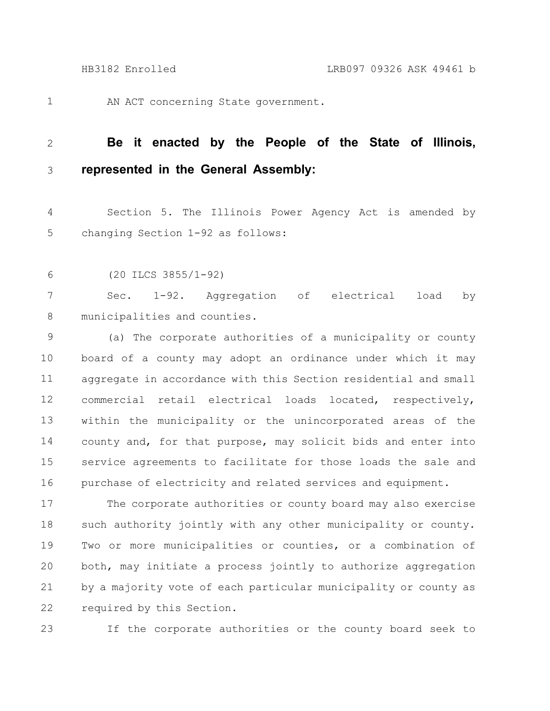1

AN ACT concerning State government.

## **Be it enacted by the People of the State of Illinois, represented in the General Assembly:** 2 3

Section 5. The Illinois Power Agency Act is amended by changing Section 1-92 as follows: 4 5

(20 ILCS 3855/1-92) 6

Sec. 1-92. Aggregation of electrical load by municipalities and counties. 7 8

(a) The corporate authorities of a municipality or county board of a county may adopt an ordinance under which it may aggregate in accordance with this Section residential and small commercial retail electrical loads located, respectively, within the municipality or the unincorporated areas of the county and, for that purpose, may solicit bids and enter into service agreements to facilitate for those loads the sale and purchase of electricity and related services and equipment. 9 10 11 12 13 14 15 16

The corporate authorities or county board may also exercise such authority jointly with any other municipality or county. Two or more municipalities or counties, or a combination of both, may initiate a process jointly to authorize aggregation by a majority vote of each particular municipality or county as required by this Section. 17 18 19 20 21 22

23

If the corporate authorities or the county board seek to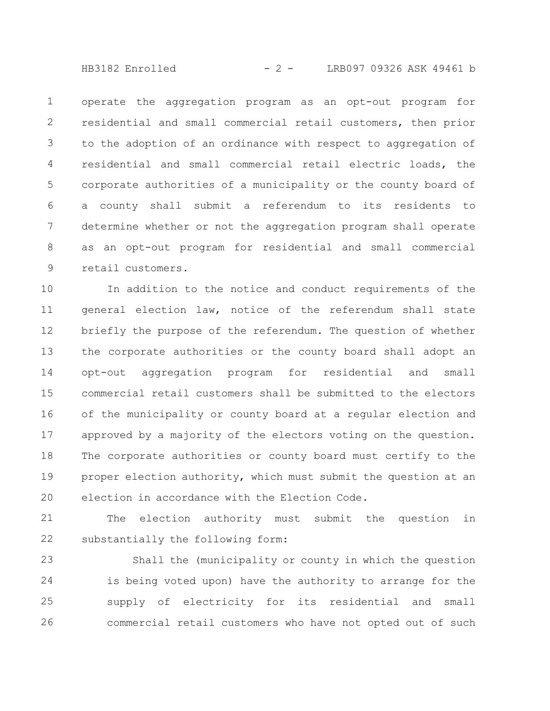HB3182 Enrolled - 2 - LRB097 09326 ASK 49461 b

operate the aggregation program as an opt-out program for residential and small commercial retail customers, then prior to the adoption of an ordinance with respect to aggregation of residential and small commercial retail electric loads, the corporate authorities of a municipality or the county board of a county shall submit a referendum to its residents to determine whether or not the aggregation program shall operate as an opt-out program for residential and small commercial retail customers. 1 2 3 4 5 6 7 8 9

In addition to the notice and conduct requirements of the general election law, notice of the referendum shall state briefly the purpose of the referendum. The question of whether the corporate authorities or the county board shall adopt an opt-out aggregation program for residential and small commercial retail customers shall be submitted to the electors of the municipality or county board at a regular election and approved by a majority of the electors voting on the question. The corporate authorities or county board must certify to the proper election authority, which must submit the question at an election in accordance with the Election Code. 10 11 12 13 14 15 16 17 18 19 20

The election authority must submit the question in substantially the following form: 21 22

Shall the (municipality or county in which the question is being voted upon) have the authority to arrange for the supply of electricity for its residential and small commercial retail customers who have not opted out of such 23 24 25 26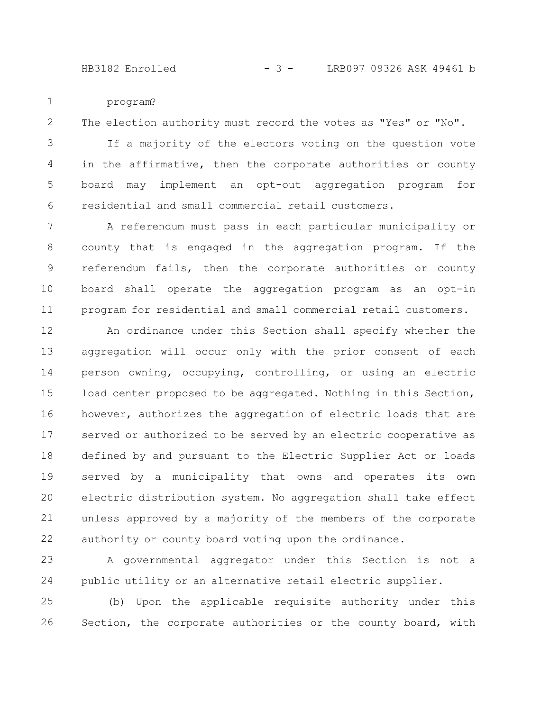program? 1

The election authority must record the votes as "Yes" or "No". 2

If a majority of the electors voting on the question vote in the affirmative, then the corporate authorities or county board may implement an opt-out aggregation program for residential and small commercial retail customers. 3 4 5 6

A referendum must pass in each particular municipality or county that is engaged in the aggregation program. If the referendum fails, then the corporate authorities or county board shall operate the aggregation program as an opt-in program for residential and small commercial retail customers. 7 8 9 10 11

An ordinance under this Section shall specify whether the aggregation will occur only with the prior consent of each person owning, occupying, controlling, or using an electric load center proposed to be aggregated. Nothing in this Section, however, authorizes the aggregation of electric loads that are served or authorized to be served by an electric cooperative as defined by and pursuant to the Electric Supplier Act or loads served by a municipality that owns and operates its own electric distribution system. No aggregation shall take effect unless approved by a majority of the members of the corporate authority or county board voting upon the ordinance. 12 13 14 15 16 17 18 19 20 21 22

A governmental aggregator under this Section is not a public utility or an alternative retail electric supplier. 23 24

(b) Upon the applicable requisite authority under this Section, the corporate authorities or the county board, with 25 26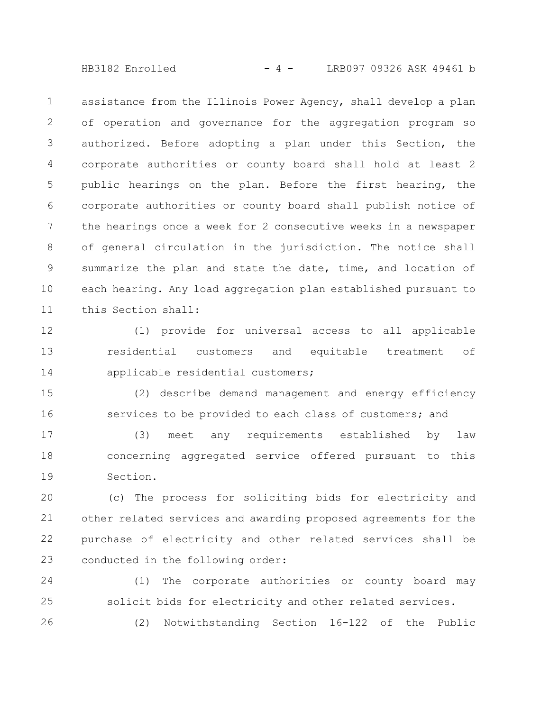HB3182 Enrolled  $- 4 -$  LRB097 09326 ASK 49461 b

assistance from the Illinois Power Agency, shall develop a plan of operation and governance for the aggregation program so authorized. Before adopting a plan under this Section, the corporate authorities or county board shall hold at least 2 public hearings on the plan. Before the first hearing, the corporate authorities or county board shall publish notice of the hearings once a week for 2 consecutive weeks in a newspaper of general circulation in the jurisdiction. The notice shall summarize the plan and state the date, time, and location of each hearing. Any load aggregation plan established pursuant to this Section shall: 1 2 3 4 5 6 7 8 9 10 11

(1) provide for universal access to all applicable residential customers and equitable treatment of applicable residential customers; 12 13 14

(2) describe demand management and energy efficiency services to be provided to each class of customers; and 15 16

(3) meet any requirements established by law concerning aggregated service offered pursuant to this Section. 17 18 19

(c) The process for soliciting bids for electricity and other related services and awarding proposed agreements for the purchase of electricity and other related services shall be conducted in the following order: 20 21 22 23

(1) The corporate authorities or county board may solicit bids for electricity and other related services. 24 25

26

(2) Notwithstanding Section 16-122 of the Public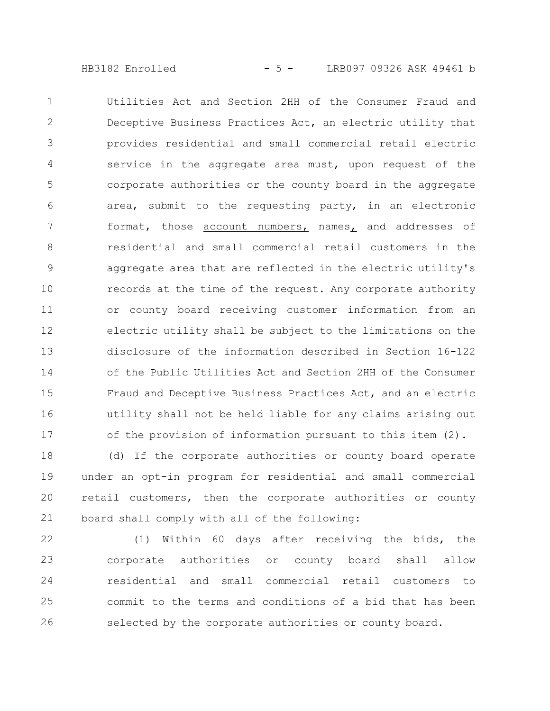HB3182 Enrolled - 5 - LRB097 09326 ASK 49461 b

Utilities Act and Section 2HH of the Consumer Fraud and Deceptive Business Practices Act, an electric utility that provides residential and small commercial retail electric service in the aggregate area must, upon request of the corporate authorities or the county board in the aggregate area, submit to the requesting party, in an electronic format, those account numbers, names, and addresses of residential and small commercial retail customers in the aggregate area that are reflected in the electric utility's records at the time of the request. Any corporate authority or county board receiving customer information from an electric utility shall be subject to the limitations on the disclosure of the information described in Section 16-122 of the Public Utilities Act and Section 2HH of the Consumer Fraud and Deceptive Business Practices Act, and an electric utility shall not be held liable for any claims arising out of the provision of information pursuant to this item (2). 1 2 3  $\Delta$ 5 6 7 8 9 10 11 12 13 14 15 16 17

(d) If the corporate authorities or county board operate under an opt-in program for residential and small commercial retail customers, then the corporate authorities or county board shall comply with all of the following: 18 19 20 21

(1) Within 60 days after receiving the bids, the corporate authorities or county board shall allow residential and small commercial retail customers to commit to the terms and conditions of a bid that has been selected by the corporate authorities or county board. 22 23 24 25 26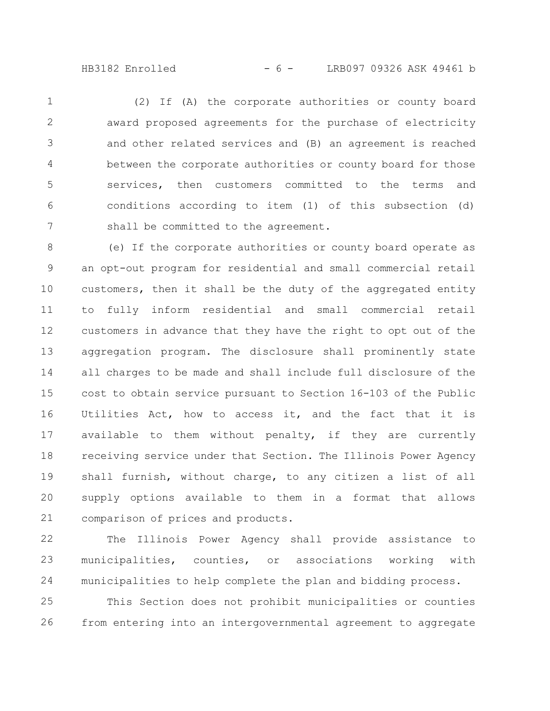HB3182 Enrolled  $- 6 -$  LRB097 09326 ASK 49461 b

(2) If (A) the corporate authorities or county board award proposed agreements for the purchase of electricity and other related services and (B) an agreement is reached between the corporate authorities or county board for those services, then customers committed to the terms and conditions according to item (1) of this subsection (d) shall be committed to the agreement. 1 2 3 4 5 6 7

(e) If the corporate authorities or county board operate as an opt-out program for residential and small commercial retail customers, then it shall be the duty of the aggregated entity to fully inform residential and small commercial retail customers in advance that they have the right to opt out of the aggregation program. The disclosure shall prominently state all charges to be made and shall include full disclosure of the cost to obtain service pursuant to Section 16-103 of the Public Utilities Act, how to access it, and the fact that it is available to them without penalty, if they are currently receiving service under that Section. The Illinois Power Agency shall furnish, without charge, to any citizen a list of all supply options available to them in a format that allows comparison of prices and products. 8 9 10 11 12 13 14 15 16 17 18 19 20 21

The Illinois Power Agency shall provide assistance to municipalities, counties, or associations working with municipalities to help complete the plan and bidding process. 22 23 24

This Section does not prohibit municipalities or counties from entering into an intergovernmental agreement to aggregate 25 26